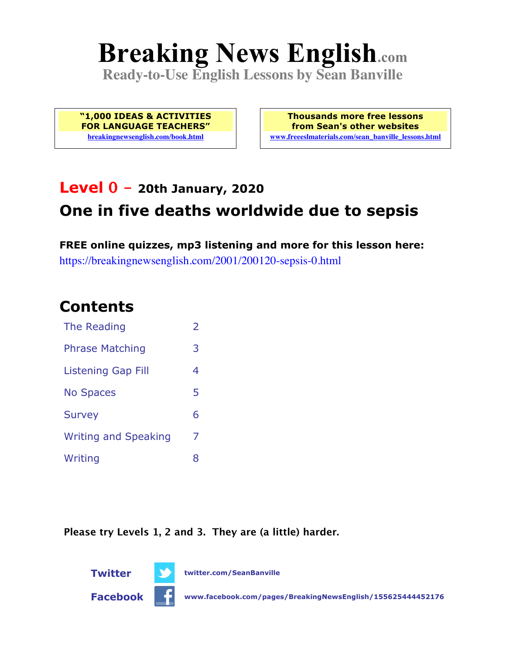# **Breaking News English.com**

**Ready-to-Use English Lessons by Sean Banville**

**"1,000 IDEAS & ACTIVITIES FOR LANGUAGE TEACHERS" breakingnewsenglish.com/book.html**

**Thousands more free lessons from Sean's other websites www.freeeslmaterials.com/sean\_banville\_lessons.html**

# **Level 0 - 20th January, 2020 One in five deaths worldwide due to sepsis**

**FREE online quizzes, mp3 listening and more for this lesson here:** https://breakingnewsenglish.com/2001/200120-sepsis-0.html

#### **Contents**

| The Reading                 | $\overline{\phantom{a}}$ |
|-----------------------------|--------------------------|
| <b>Phrase Matching</b>      | 3                        |
| Listening Gap Fill          | 4                        |
| <b>No Spaces</b>            | 5                        |
| <b>Survey</b>               | 6                        |
| <b>Writing and Speaking</b> | 7                        |
| Writing                     | 8                        |

**Please try Levels 1, 2 and 3. They are (a little) harder.**

**Twitter twitter.com/SeanBanville**



**Facebook www.facebook.com/pages/BreakingNewsEnglish/155625444452176**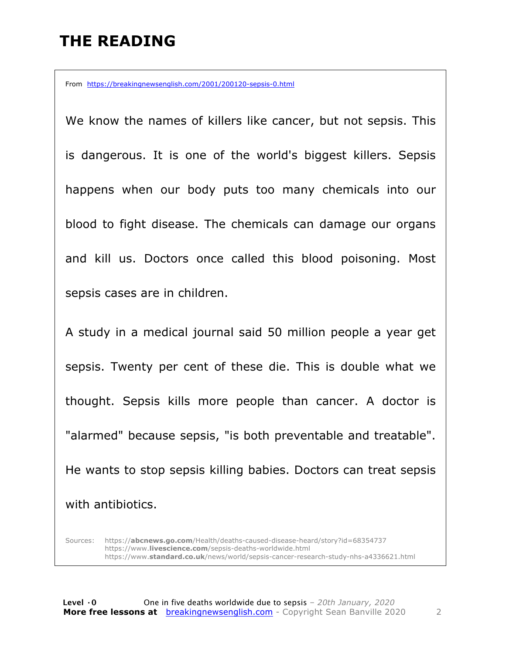#### **THE READING**

From https://breakingnewsenglish.com/2001/200120-sepsis-0.html

We know the names of killers like cancer, but not sepsis. This is dangerous. It is one of the world's biggest killers. Sepsis happens when our body puts too many chemicals into our blood to fight disease. The chemicals can damage our organs and kill us. Doctors once called this blood poisoning. Most sepsis cases are in children.

A study in a medical journal said 50 million people a year get sepsis. Twenty per cent of these die. This is double what we thought. Sepsis kills more people than cancer. A doctor is "alarmed" because sepsis, "is both preventable and treatable". He wants to stop sepsis killing babies. Doctors can treat sepsis with antibiotics.

Sources: https://**abcnews.go.com**/Health/deaths-caused-disease-heard/story?id=68354737 https://www.**livescience.com**/sepsis-deaths-worldwide.html https://www.**standard.co.uk**/news/world/sepsis-cancer-research-study-nhs-a4336621.html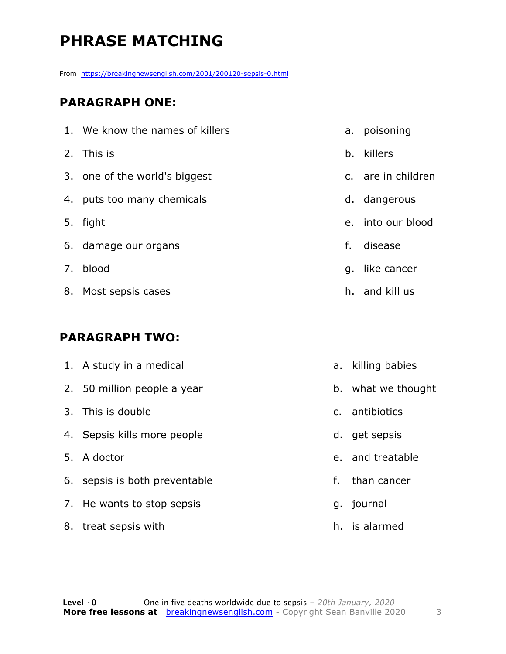## **PHRASE MATCHING**

From https://breakingnewsenglish.com/2001/200120-sepsis-0.html

#### **PARAGRAPH ONE:**

| 1. We know the names of killers |    | a. poisoning       |
|---------------------------------|----|--------------------|
| 2. This is                      |    | b. killers         |
| 3. one of the world's biggest   |    | c. are in children |
| 4. puts too many chemicals      |    | d. dangerous       |
| 5. fight                        |    | e. into our blood  |
| 6. damage our organs            | f. | disease            |
| 7. blood                        |    | g. like cancer     |
| 8. Most sepsis cases            |    | h. and kill us     |

#### **PARAGRAPH TWO:**

| 1. A study in a medical       |    | a. killing babies  |
|-------------------------------|----|--------------------|
| 2. 50 million people a year   |    | b. what we thought |
| 3. This is double             |    | c. antibiotics     |
| 4. Sepsis kills more people   |    | d. get sepsis      |
| 5. A doctor                   |    | e. and treatable   |
| 6. sepsis is both preventable | f. | than cancer        |
| 7. He wants to stop sepsis    |    | g. journal         |
| 8. treat sepsis with          |    | h. is alarmed      |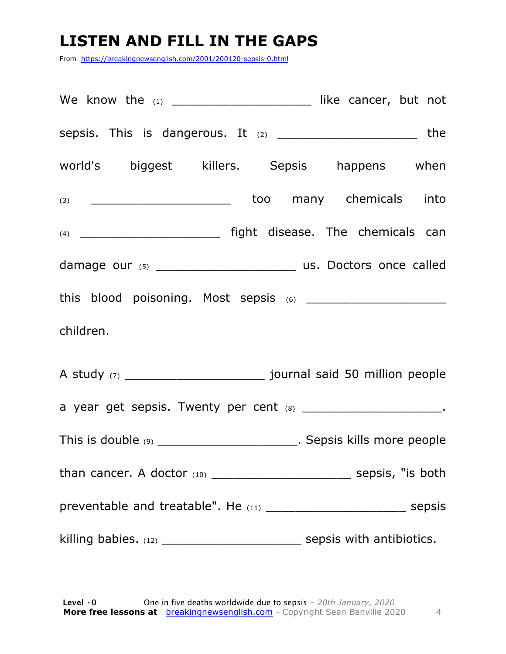### **LISTEN AND FILL IN THE GAPS**

From https://breakingnewsenglish.com/2001/200120-sepsis-0.html

| sepsis. This is dangerous. It (2) _______________________________the    |  |  |  |  |  |
|-------------------------------------------------------------------------|--|--|--|--|--|
| world's biggest killers. Sepsis happens when                            |  |  |  |  |  |
| (3) _____________________________too many chemicals into                |  |  |  |  |  |
| (4) __________________________________ fight disease. The chemicals can |  |  |  |  |  |
|                                                                         |  |  |  |  |  |
|                                                                         |  |  |  |  |  |
| children.                                                               |  |  |  |  |  |
|                                                                         |  |  |  |  |  |
| a year get sepsis. Twenty per cent (8) __________________________.      |  |  |  |  |  |
| This is double (9) ________________________. Sepsis kills more people   |  |  |  |  |  |
|                                                                         |  |  |  |  |  |
|                                                                         |  |  |  |  |  |
|                                                                         |  |  |  |  |  |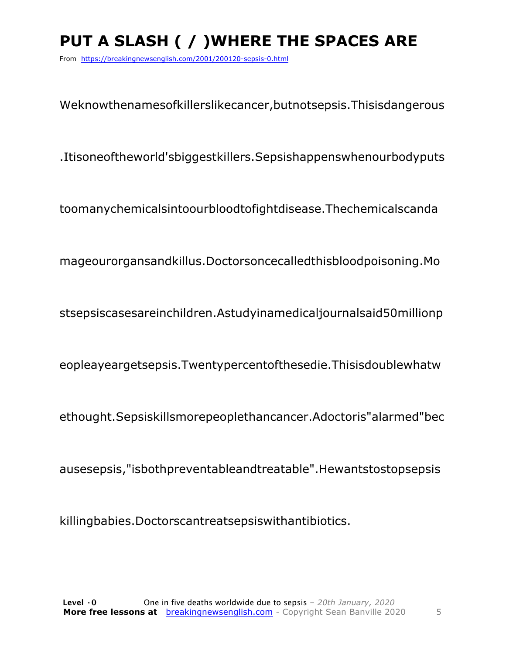# PUT A SLASH ( / ) WHERE THE SPACES ARE

From https://breakingnewsenglish.com/2001/200120-sepsis-0.html

Weknowthenamesofkillerslikecancer, butnotsepsis. Thisisdangerous

.Itisoneoftheworld'sbiggestkillers.Sepsishappenswhenourbodyputs

toomanychemicalsintoourbloodtofightdisease.Thechemicalscanda

mageourorgansandkillus.Doctorsoncecalledthisbloodpoisoning.Mo

stsepsiscasesareinchildren.Astudyinamedicaljournalsaid50millionp

eopleayeargetsepsis.Twentypercentofthesedie.Thisisdoublewhatw

ethought.Sepsiskillsmorepeoplethancancer.Adoctoris"alarmed"bec

ausesepsis,"isbothpreventableandtreatable".Hewantstostopsepsis

killingbabies.Doctorscantreatsepsiswithantibiotics.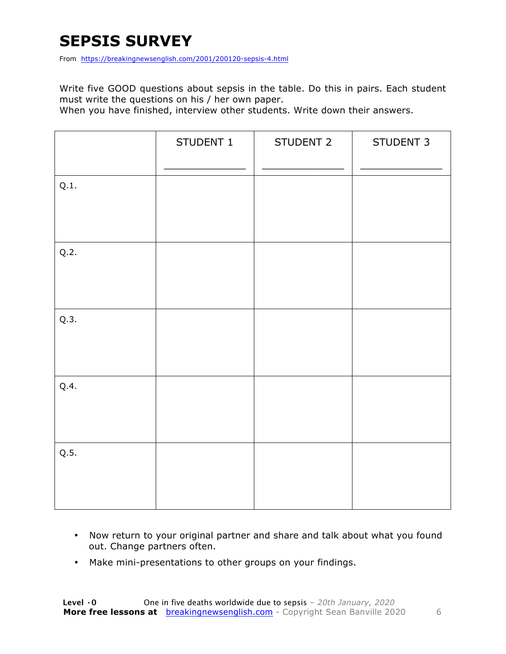### **SEPSIS SURVEY**

From https://breakingnewsenglish.com/2001/200120-sepsis-4.html

Write five GOOD questions about sepsis in the table. Do this in pairs. Each student must write the questions on his / her own paper.

When you have finished, interview other students. Write down their answers.

|      | STUDENT 1 | STUDENT 2 | STUDENT 3 |
|------|-----------|-----------|-----------|
| Q.1. |           |           |           |
| Q.2. |           |           |           |
| Q.3. |           |           |           |
| Q.4. |           |           |           |
| Q.5. |           |           |           |

- Now return to your original partner and share and talk about what you found out. Change partners often.
- Make mini-presentations to other groups on your findings.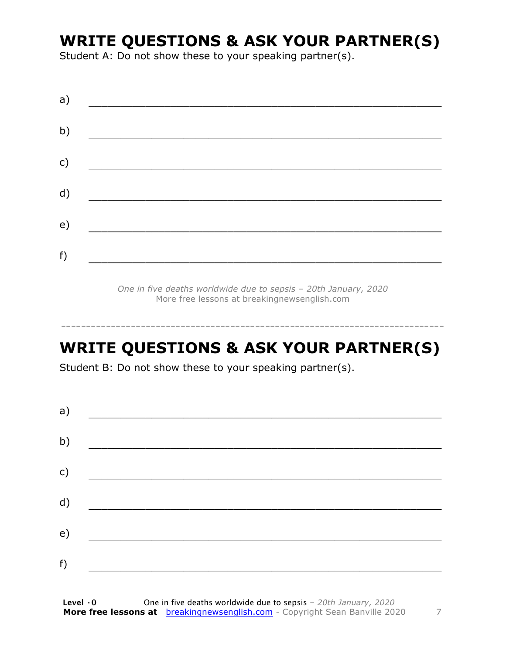### **WRITE QUESTIONS & ASK YOUR PARTNER(S)**

Student A: Do not show these to your speaking partner(s).

| a) |  |  |
|----|--|--|
| b) |  |  |
| c) |  |  |
| d) |  |  |
| e) |  |  |
| f) |  |  |
|    |  |  |

*One in five deaths worldwide due to sepsis – 20th January, 2020* More free lessons at breakingnewsenglish.com

-----------------------------------------------------------------------------

#### **WRITE QUESTIONS & ASK YOUR PARTNER(S)**

Student B: Do not show these to your speaking partner(s).

| a) |  |  |
|----|--|--|
| b) |  |  |
| c) |  |  |
| d) |  |  |
| e) |  |  |
|    |  |  |
| f) |  |  |